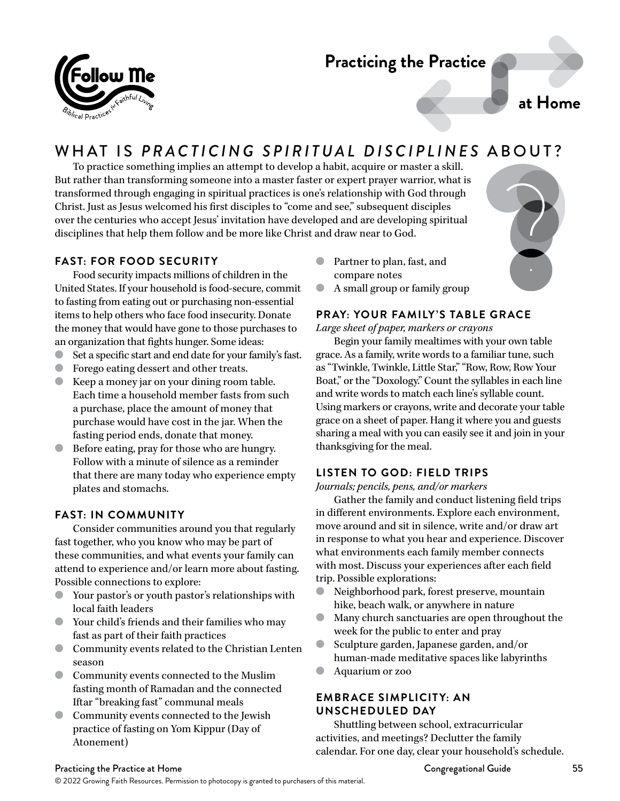# **Practicing the Practice**

**at Home**

# WHAT IS *PRACTICING SPIRITUAL DISCIPLINES* ABOUT?

To practice something implies an attempt to develop a habit, acquire or master a skill. But rather than transforming someone into a master faster or expert prayer warrior, what is transformed through engaging in spiritual practices is one's relationship with God through Christ. Just as Jesus welcomed his first disciples to "come and see," subsequent disciples over the centuries who accept Jesus' invitation have developed and are developing spiritual disciplines that help them follow and be more like Christ and draw near to God.

# **FAST: FOR FOOD SECURITY**

Food security impacts millions of children in the United States. If your household is food-secure, commit to fasting from eating out or purchasing non-essential items to help others who face food insecurity. Donate the money that would have gone to those purchases to an organization that fights hunger. Some ideas:

- Set a specific start and end date for your family's fast.
- Forego eating dessert and other treats.
- Keep a money jar on your dining room table. Each time a household member fasts from such a purchase, place the amount of money that purchase would have cost in the jar. When the fasting period ends, donate that money.
- Before eating, pray for those who are hungry. Follow with a minute of silence as a reminder that there are many today who experience empty plates and stomachs.

# **FAST: IN COMMUNITY**

Consider communities around you that regularly fast together, who you know who may be part of these communities, and what events your family can attend to experience and/or learn more about fasting. Possible connections to explore:

- Your pastor's or youth pastor's relationships with local faith leaders
- Your child's friends and their families who may fast as part of their faith practices
- Community events related to the Christian Lenten season
- Community events connected to the Muslim fasting month of Ramadan and the connected Iftar "breaking fast" communal meals
- Community events connected to the Jewish practice of fasting on Yom Kippur (Day of Atonement)
- Partner to plan, fast, and compare notes
- A small group or family group

# **PRAY: YOUR FAMILY'S TABLE GRACE**

*Large sheet of paper, markers or crayons*

Begin your family mealtimes with your own table grace. As a family, write words to a familiar tune, such as "Twinkle, Twinkle, Little Star," "Row, Row, Row Your Boat," or the "Doxology." Count the syllables in each line and write words to match each line's syllable count. Using markers or crayons, write and decorate your table grace on a sheet of paper. Hang it where you and guests sharing a meal with you can easily see it and join in your thanksgiving for the meal.

# **LISTEN TO GOD: FIELD TRIPS**

*Journals; pencils, pens, and/or markers*

Gather the family and conduct listening field trips in different environments. Explore each environment, move around and sit in silence, write and/or draw art in response to what you hear and experience. Discover what environments each family member connects with most. Discuss your experiences after each field trip. Possible explorations:

- Neighborhood park, forest preserve, mountain hike, beach walk, or anywhere in nature
- Many church sanctuaries are open throughout the week for the public to enter and pray
- Sculpture garden, Japanese garden, and/or human-made meditative spaces like labyrinths
- Aquarium or zoo

## **EMBRACE SIMPLICITY: AN UNSCHEDULED DAY**

Shuttling between school, extracurricular activities, and meetings? Declutter the family calendar. For one day, clear your household's schedule.

#### Practicing the Practice at Home Congregational Guide Congregational Guide Congregational Guide